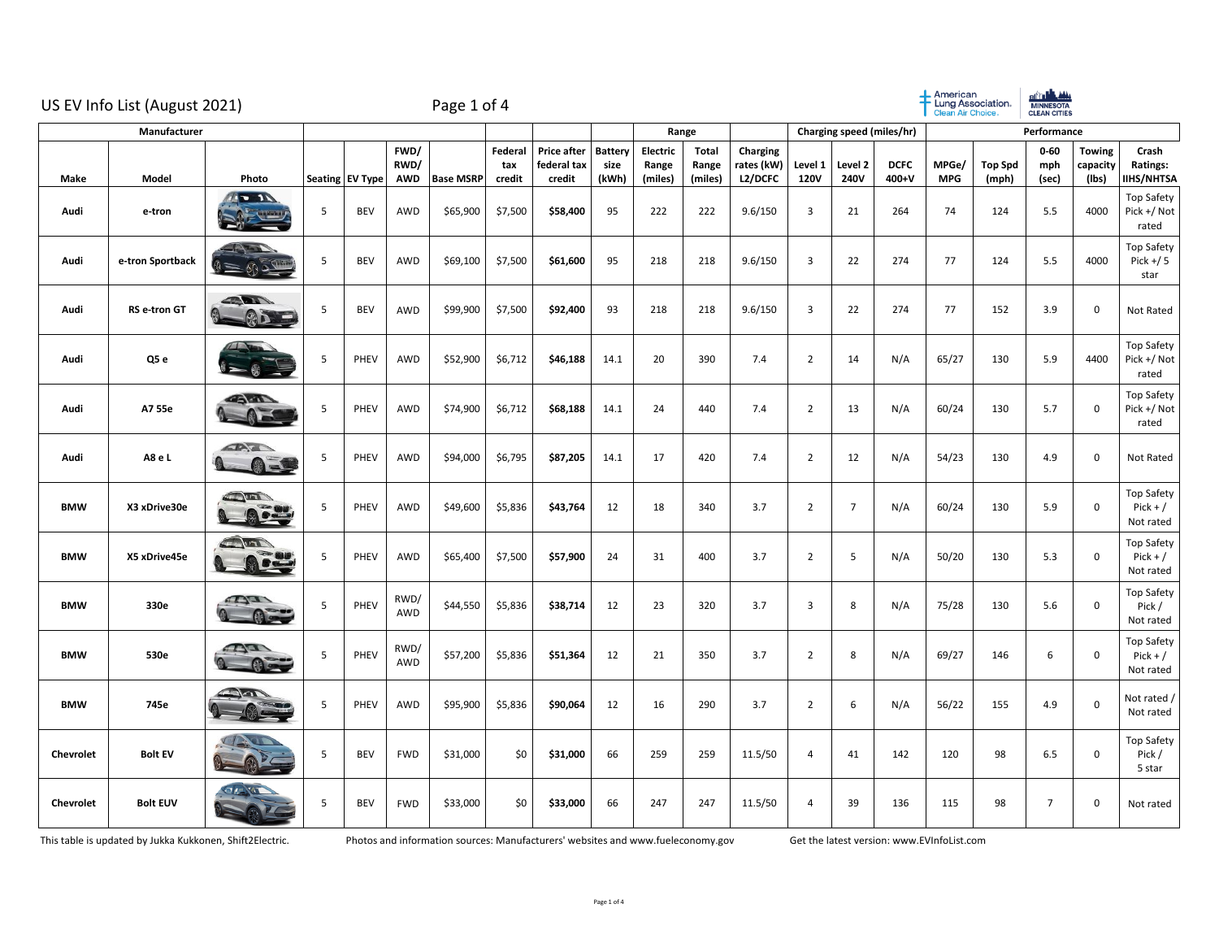|                  | US EV Info List (August 2021) |                                        |   |                 |                            | Page 1 of 4      |                          |                                             |                          |                              |                                  |                                   |                        |                 |                      | American<br>Lung Association.<br><b>Clean Air Choice</b> |                         | <b>AIT LAWA</b><br>MINNESOTA<br>CLEAN CITIES |                                    |                                        |
|------------------|-------------------------------|----------------------------------------|---|-----------------|----------------------------|------------------|--------------------------|---------------------------------------------|--------------------------|------------------------------|----------------------------------|-----------------------------------|------------------------|-----------------|----------------------|----------------------------------------------------------|-------------------------|----------------------------------------------|------------------------------------|----------------------------------------|
| Manufacturer     |                               |                                        |   |                 |                            |                  |                          |                                             | Range                    |                              |                                  | Charging speed (miles/hr)         |                        |                 |                      | Performance                                              |                         |                                              |                                    |                                        |
| Make             | Model                         | Photo                                  |   | Seating EV Type | FWD/<br>RWD/<br><b>AWD</b> | <b>Base MSRP</b> | Federal<br>tax<br>credit | <b>Price after</b><br>federal tax<br>credit | Battery<br>size<br>(kWh) | Electric<br>Range<br>(miles) | <b>Total</b><br>Range<br>(miles) | Charging<br>rates (kW)<br>L2/DCFC | Level 1<br><b>120V</b> | Level 2<br>240V | <b>DCFC</b><br>400+V | MPGe/<br><b>MPG</b>                                      | <b>Top Spd</b><br>(mph) | $0 - 60$<br>mph<br>(sec)                     | <b>Towing</b><br>capacity<br>(lbs) | Crash<br>Ratings:<br><b>IIHS/NHTSA</b> |
| Audi             | e-tron                        | $\sqrt{1}$                             | 5 | BEV             | AWD                        | \$65,900         | \$7,500                  | \$58,400                                    | 95                       | 222                          | 222                              | 9.6/150                           | 3                      | 21              | 264                  | 74                                                       | 124                     | 5.5                                          | 4000                               | Top Safety<br>Pick +/ Not<br>rated     |
| Audi             | e-tron Sportback              |                                        | 5 | <b>BEV</b>      | <b>AWD</b>                 | \$69,100         | \$7,500                  | \$61,600                                    | 95                       | 218                          | 218                              | 9.6/150                           | $\overline{3}$         | 22              | 274                  | 77                                                       | 124                     | 5.5                                          | 4000                               | Top Safety<br>$Pick + / 5$<br>star     |
| Audi             | <b>RS</b> e-tron GT           | <b>SERVICE</b>                         | 5 | <b>BEV</b>      | <b>AWD</b>                 | \$99,900         | \$7,500                  | \$92,400                                    | 93                       | 218                          | 218                              | 9.6/150                           | $\overline{3}$         | 22              | 274                  | 77                                                       | 152                     | 3.9                                          | $\mathsf 0$                        | Not Rated                              |
| Audi             | Q5 e                          |                                        | 5 | PHEV            | AWD                        | \$52,900         | \$6,712                  | \$46,188                                    | 14.1                     | 20                           | 390                              | 7.4                               | $\overline{2}$         | 14              | N/A                  | 65/27                                                    | 130                     | 5.9                                          | 4400                               | Top Safety<br>Pick +/ Not<br>rated     |
| Audi             | A7 55e                        | $\sqrt{1-\sqrt{2}}$                    | 5 | PHEV            | AWD                        | \$74,900         | \$6,712                  | \$68,188                                    | 14.1                     | 24                           | 440                              | 7.4                               | $\overline{2}$         | 13              | N/A                  | 60/24                                                    | 130                     | 5.7                                          | $\mathsf 0$                        | Top Safety<br>Pick +/ Not<br>rated     |
| Audi             | A8 e L                        | AND<br>$\blacksquare$                  | 5 | PHEV            | AWD                        | \$94,000         | \$6,795                  | \$87,205                                    | 14.1                     | 17                           | 420                              | 7.4                               | $\overline{2}$         | 12              | N/A                  | 54/23                                                    | 130                     | 4.9                                          | $\mathbf 0$                        | Not Rated                              |
| <b>BMW</b>       | X3 xDrive30e                  | $\sqrt{1}$<br>Activ                    | 5 | PHEV            | <b>AWD</b>                 | \$49,600         | \$5,836                  | \$43,764                                    | 12                       | 18                           | 340                              | 3.7                               | $\overline{2}$         | $\overline{7}$  | N/A                  | 60/24                                                    | 130                     | 5.9                                          | 0                                  | Top Safety<br>$Pick + /$<br>Not rated  |
| <b>BMW</b>       | X5 xDrive45e                  | $\frac{1}{\sqrt{1-\frac{1}{2}}}$<br>Ga | 5 | PHEV            | <b>AWD</b>                 | \$65,400         | \$7,500                  | \$57,900                                    | 24                       | 31                           | 400                              | 3.7                               | $\overline{2}$         | 5               | N/A                  | 50/20                                                    | 130                     | 5.3                                          | $\mathsf 0$                        | Top Safety<br>$Pick + /$<br>Not rated  |
| <b>BMW</b>       | 330e                          | <b>REAL</b>                            | 5 | PHEV            | RWD/<br>AWD                | \$44,550         | \$5,836                  | \$38,714                                    | 12                       | 23                           | 320                              | 3.7                               | $\overline{3}$         | 8               | N/A                  | 75/28                                                    | 130                     | 5.6                                          | $\mathsf 0$                        | Top Safety<br>Pick /<br>Not rated      |
| <b>BMW</b>       | 530e                          | <b>RACE</b><br>Æ                       | 5 | PHEV            | RWD/<br>AWD                | \$57,200         | \$5,836                  | \$51,364                                    | 12                       | 21                           | 350                              | 3.7                               | $\overline{2}$         | 8               | N/A                  | 69/27                                                    | 146                     | 6                                            | $\mathsf 0$                        | Top Safety<br>$Pick + /$<br>Not rated  |
| <b>BMW</b>       | 745e                          |                                        | 5 | PHEV            | AWD                        | \$95,900         | \$5,836                  | \$90,064                                    | 12                       | 16                           | 290                              | 3.7                               | $\overline{2}$         | 6               | N/A                  | 56/22                                                    | 155                     | 4.9                                          | $\mathsf 0$                        | Not rated /<br>Not rated               |
| <b>Chevrolet</b> | <b>Bolt EV</b>                |                                        | 5 | <b>BEV</b>      | <b>FWD</b>                 | \$31,000         | \$0                      | \$31,000                                    | 66                       | 259                          | 259                              | 11.5/50                           | $\overline{4}$         | 41              | 142                  | 120                                                      | 98                      | 6.5                                          | $\mathbf 0$                        | <b>Top Safety</b><br>Pick /<br>5 star  |
| <b>Chevrolet</b> | <b>Bolt EUV</b>               |                                        | 5 | BEV             | <b>FWD</b>                 | \$33,000         | \$0                      | \$33,000                                    | 66                       | 247                          | 247                              | 11.5/50                           | 4                      | 39              | 136                  | 115                                                      | 98                      | $\overline{7}$                               | 0                                  | Not rated                              |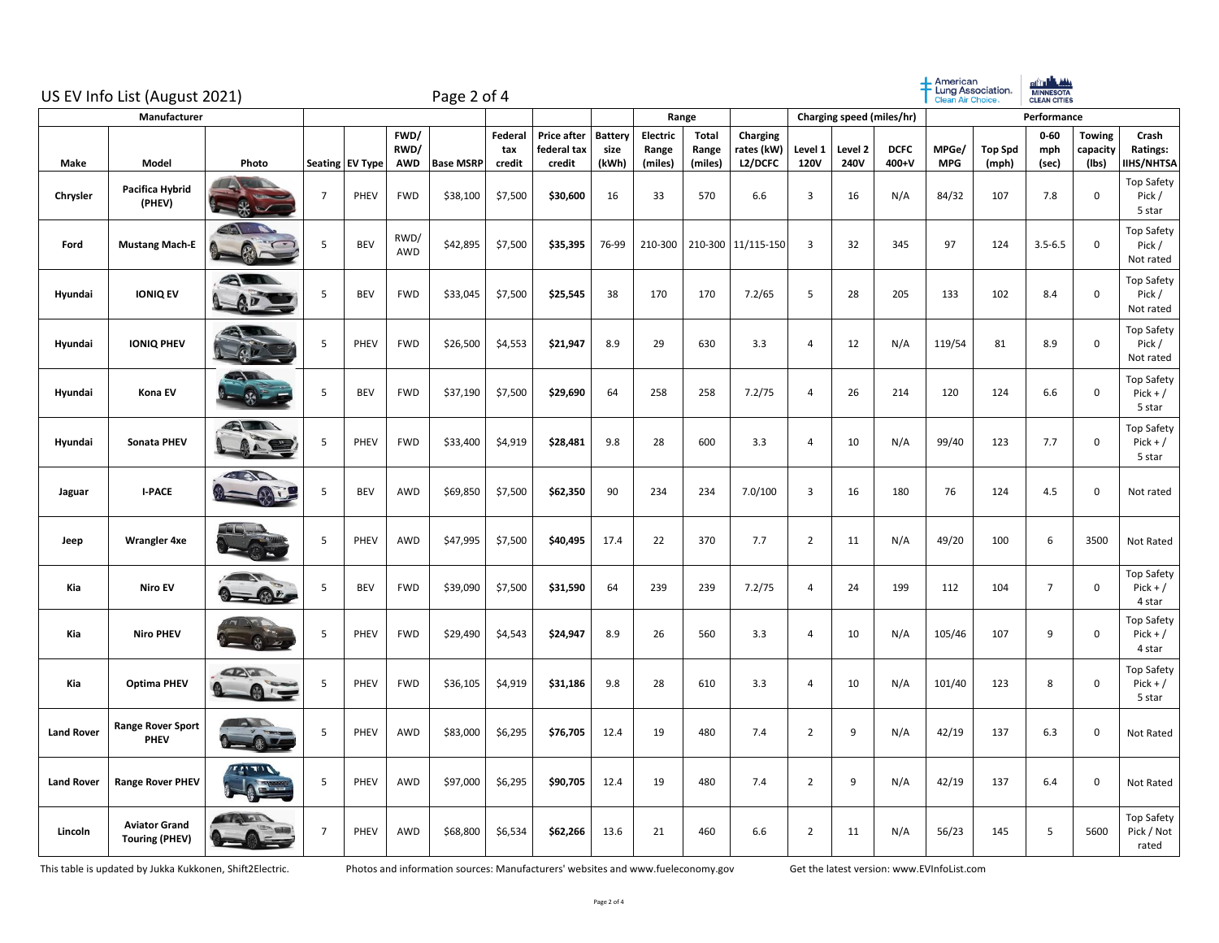|                   | US EV Info List (August 2021)                 | Page 2 of 4                |                |                 |                            |                  |                           | $+$ American<br>- Lung Association.<br>Clean Air Choice. |                                 |                              | of the settle<br><b>MINNESOTA</b><br>CLEAN CITIES |                                   |                        |                            |                      |                     |                         |                          |                                    |                                           |
|-------------------|-----------------------------------------------|----------------------------|----------------|-----------------|----------------------------|------------------|---------------------------|----------------------------------------------------------|---------------------------------|------------------------------|---------------------------------------------------|-----------------------------------|------------------------|----------------------------|----------------------|---------------------|-------------------------|--------------------------|------------------------------------|-------------------------------------------|
|                   |                                               | Range                      |                |                 |                            |                  | Charging speed (miles/hr) |                                                          |                                 |                              | Performance                                       |                                   |                        |                            |                      |                     |                         |                          |                                    |                                           |
| <b>Make</b>       | Model                                         | Photo                      |                | Seating EV Type | FWD/<br>RWD/<br><b>AWD</b> | <b>Base MSRP</b> | Federal<br>tax<br>credit  | Price after<br>federal tax<br>credit                     | <b>Battery</b><br>size<br>(kWh) | Electric<br>Range<br>(miles) | Total<br>Range<br>(miles)                         | Charging<br>rates (kW)<br>L2/DCFC | Level 1<br><b>120V</b> | Level <sub>2</sub><br>240V | <b>DCFC</b><br>400+V | MPGe/<br><b>MPG</b> | <b>Top Spd</b><br>(mph) | $0 - 60$<br>mph<br>(sec) | <b>Towing</b><br>capacity<br>(Ibs) | Crash<br>Ratings:<br><b>IIHS/NHTSA</b>    |
| Chrysler          | Pacifica Hybrid<br>(PHEV)                     |                            | $\overline{7}$ | PHEV            | <b>FWD</b>                 | \$38,100         | \$7,500                   | \$30,600                                                 | 16                              | 33                           | 570                                               | 6.6                               | 3                      | 16                         | N/A                  | 84/32               | 107                     | 7.8                      | $\mathbf 0$                        | Top Safety<br>Pick /<br>5 star            |
| Ford              | <b>Mustang Mach-E</b>                         |                            | 5              | <b>BEV</b>      | RWD/<br>AWD                | \$42,895         | \$7,500                   | \$35,395                                                 | 76-99                           | 210-300                      |                                                   | 210-300 11/115-150                | $\overline{3}$         | 32                         | 345                  | 97                  | 124                     | $3.5 - 6.5$              | 0                                  | <b>Top Safety</b><br>Pick /<br>Not rated  |
| Hyundai           | <b>IONIQ EV</b>                               | a                          | 5              | <b>BEV</b>      | <b>FWD</b>                 | \$33,045         | \$7,500                   | \$25,545                                                 | 38                              | 170                          | 170                                               | 7.2/65                            | 5                      | 28                         | 205                  | 133                 | 102                     | 8.4                      | $\mathbf 0$                        | <b>Top Safety</b><br>Pick /<br>Not rated  |
| Hyundai           | <b>IONIQ PHEV</b>                             |                            | 5              | PHEV            | <b>FWD</b>                 | \$26,500         | \$4,553                   | \$21,947                                                 | 8.9                             | 29                           | 630                                               | 3.3                               | $\overline{4}$         | 12                         | N/A                  | 119/54              | 81                      | 8.9                      | $\mathsf 0$                        | Top Safety<br>Pick /<br>Not rated         |
| Hyundai           | Kona EV                                       | $\lambda$ $\lambda$        | 5              | <b>BEV</b>      | <b>FWD</b>                 | \$37,190         | \$7,500                   | \$29,690                                                 | 64                              | 258                          | 258                                               | 7.2/75                            | $\overline{4}$         | 26                         | 214                  | 120                 | 124                     | 6.6                      | 0                                  | Top Safety<br>$Pick + /$<br>5 star        |
| Hyundai           | Sonata PHEV                                   | ALIN                       | 5              | PHEV            | <b>FWD</b>                 | \$33,400         | \$4,919                   | \$28,481                                                 | 9.8                             | 28                           | 600                                               | 3.3                               | $\overline{4}$         | 10                         | N/A                  | 99/40               | 123                     | 7.7                      | $\mathsf 0$                        | <b>Top Safety</b><br>$Pick + /$<br>5 star |
| Jaguar            | <b>I-PACE</b>                                 | <b>AND</b>                 | 5              | <b>BEV</b>      | AWD                        | \$69,850         | \$7,500                   | \$62,350                                                 | 90                              | 234                          | 234                                               | 7.0/100                           | 3                      | 16                         | 180                  | 76                  | 124                     | 4.5                      | $\mathbf 0$                        | Not rated                                 |
| Jeep              | <b>Wrangler 4xe</b>                           |                            | 5              | PHEV            | AWD                        | \$47,995         | \$7,500                   | \$40,495                                                 | 17.4                            | 22                           | 370                                               | 7.7                               | $\overline{2}$         | 11                         | N/A                  | 49/20               | 100                     | 6                        | 3500                               | Not Rated                                 |
| Kia               | <b>Niro EV</b>                                |                            | 5              | <b>BEV</b>      | <b>FWD</b>                 | \$39,090         | \$7,500                   | \$31,590                                                 | 64                              | 239                          | 239                                               | 7.2/75                            | $\overline{4}$         | 24                         | 199                  | 112                 | 104                     | $\overline{7}$           | $\mathbf 0$                        | Top Safety<br>$Pick + /$<br>4 star        |
| Kia               | <b>Niro PHEV</b>                              |                            | 5              | PHEV            | <b>FWD</b>                 | \$29,490         | \$4,543                   | \$24,947                                                 | 8.9                             | 26                           | 560                                               | 3.3                               | $\overline{4}$         | 10                         | N/A                  | 105/46              | 107                     | 9                        | $\mathsf 0$                        | Top Safety<br>$Pick + /$<br>4 star        |
| Kia               | <b>Optima PHEV</b>                            | <b>CANT</b><br><b>SALE</b> | -5             | PHEV            | <b>FWD</b>                 | \$36,105         | \$4,919                   | \$31,186                                                 | 9.8                             | 28                           | 610                                               | 3.3                               | $\overline{4}$         | 10                         | N/A                  | 101/40              | 123                     | 8                        | 0                                  | <b>Top Safety</b><br>$Pick + /$<br>5 star |
| <b>Land Rover</b> | <b>Range Rover Sport</b><br>PHEV              |                            | 5              | PHEV            | AWD                        | \$83,000         | \$6,295                   | \$76,705                                                 | 12.4                            | 19                           | 480                                               | 7.4                               | $\overline{2}$         | 9                          | N/A                  | 42/19               | 137                     | 6.3                      | $\mathsf 0$                        | Not Rated                                 |
| <b>Land Rover</b> | <b>Range Rover PHEV</b>                       | א הידי <u>ז</u> ז          | 5              | PHEV            | AWD                        | \$97,000         | \$6,295                   | \$90,705                                                 | 12.4                            | 19                           | 480                                               | 7.4                               | $\overline{2}$         | 9                          | N/A                  | 42/19               | 137                     | 6.4                      | $\mathbf 0$                        | Not Rated                                 |
| Lincoln           | <b>Aviator Grand</b><br><b>Touring (PHEV)</b> |                            | $\overline{7}$ | PHEV            | AWD                        | \$68,800         | \$6,534                   | \$62,266                                                 | 13.6                            | 21                           | 460                                               | 6.6                               | $\overline{2}$         | 11                         | N/A                  | 56/23               | 145                     | 5                        | 5600                               | Top Safety<br>Pick / Not<br>rated         |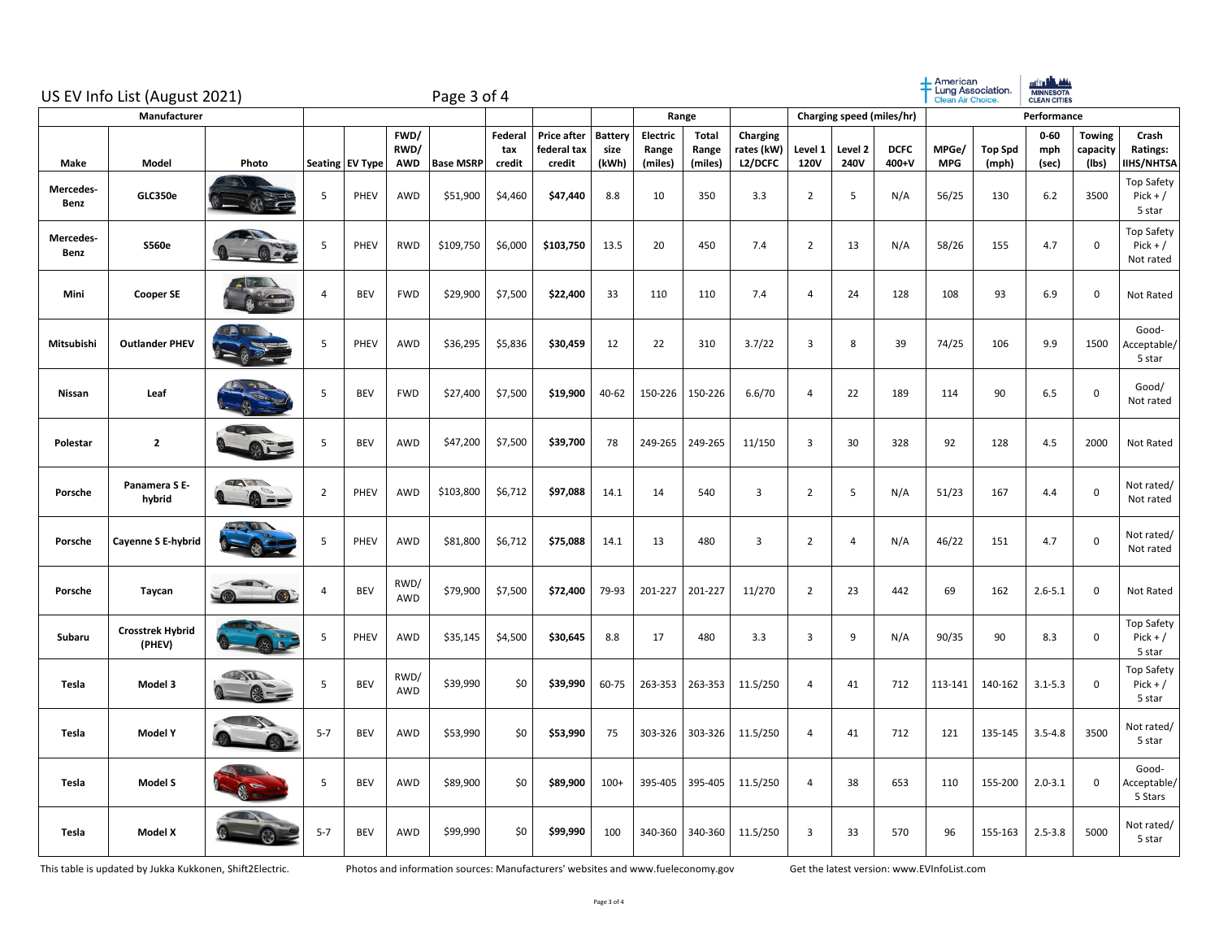|                   | US EV Info List (August 2021)     |                                                                                                                                                                                                                                                                                                                                                                   | Page 3 of 4    |                 |                            |                  |                          |                                             |                                 |                              |                                  |                                   |                        |                           |                      | $+$ American<br>Lung Association.<br><b>Clean Air Choice.</b> | <b>BITTLE ANA</b><br><b>CLEAN CITIES</b> |                          |                                    |                                              |
|-------------------|-----------------------------------|-------------------------------------------------------------------------------------------------------------------------------------------------------------------------------------------------------------------------------------------------------------------------------------------------------------------------------------------------------------------|----------------|-----------------|----------------------------|------------------|--------------------------|---------------------------------------------|---------------------------------|------------------------------|----------------------------------|-----------------------------------|------------------------|---------------------------|----------------------|---------------------------------------------------------------|------------------------------------------|--------------------------|------------------------------------|----------------------------------------------|
| Manufacturer      |                                   |                                                                                                                                                                                                                                                                                                                                                                   |                |                 |                            |                  |                          |                                             |                                 |                              | Range                            |                                   |                        | Charging speed (miles/hr) |                      |                                                               |                                          | Performance              |                                    |                                              |
| Make              | Model                             | Photo                                                                                                                                                                                                                                                                                                                                                             |                | Seating EV Type | FWD/<br>RWD/<br><b>AWD</b> | <b>Base MSRP</b> | Federal<br>tax<br>credit | <b>Price after</b><br>federal tax<br>credit | <b>Battery</b><br>size<br>(kWh) | Electric<br>Range<br>(miles) | <b>Total</b><br>Range<br>(miles) | Charging<br>rates (kW)<br>L2/DCFC | Level 1<br><b>120V</b> | Level 2<br>240V           | <b>DCFC</b><br>400+V | MPGe/<br><b>MPG</b>                                           | <b>Top Spd</b><br>(mph)                  | $0 - 60$<br>mph<br>(sec) | <b>Towing</b><br>capacity<br>(Ibs) | Crash<br>Ratings:<br><b>IIHS/NHTSA</b>       |
| Mercedes-<br>Benz | GLC350e                           |                                                                                                                                                                                                                                                                                                                                                                   | 5              | PHEV            | AWD                        | \$51,900         | \$4,460                  | \$47,440                                    | 8.8                             | 10                           | 350                              | 3.3                               | $\overline{2}$         | 5                         | N/A                  | 56/25                                                         | 130                                      | 6.2                      | 3500                               | Top Safety<br>$Pick + /$<br>5 star           |
| Mercedes-<br>Benz | <b>S560e</b>                      |                                                                                                                                                                                                                                                                                                                                                                   | 5              | PHEV            | RWD                        | \$109,750        | \$6,000                  | \$103,750                                   | 13.5                            | 20                           | 450                              | 7.4                               | $\overline{2}$         | 13                        | N/A                  | 58/26                                                         | 155                                      | 4.7                      | 0                                  | <b>Top Safety</b><br>$Pick + /$<br>Not rated |
| Mini              | <b>Cooper SE</b>                  |                                                                                                                                                                                                                                                                                                                                                                   | 4              | <b>BEV</b>      | <b>FWD</b>                 | \$29,900         | \$7,500                  | \$22,400                                    | 33                              | 110                          | 110                              | 7.4                               | $\overline{4}$         | 24                        | 128                  | 108                                                           | 93                                       | 6.9                      | $\mathsf 0$                        | Not Rated                                    |
| Mitsubishi        | <b>Outlander PHEV</b>             |                                                                                                                                                                                                                                                                                                                                                                   | 5              | PHEV            | AWD                        | \$36,295         | \$5,836                  | \$30,459                                    | 12                              | 22                           | 310                              | 3.7/22                            | 3                      | 8                         | 39                   | 74/25                                                         | 106                                      | 9.9                      | 1500                               | Good-<br>Acceptable/<br>5 star               |
| Nissan            | Leaf                              |                                                                                                                                                                                                                                                                                                                                                                   | 5              | <b>BEV</b>      | <b>FWD</b>                 | \$27,400         | \$7,500                  | \$19,900                                    | 40-62                           | 150-226                      | 150-226                          | 6.6/70                            | $\overline{4}$         | 22                        | 189                  | 114                                                           | 90                                       | 6.5                      | 0                                  | Good/<br>Not rated                           |
| Polestar          | $\mathbf{2}$                      |                                                                                                                                                                                                                                                                                                                                                                   | 5              | <b>BEV</b>      | AWD                        | \$47,200         | \$7,500                  | \$39,700                                    | 78                              | 249-265                      | 249-265                          | 11/150                            | 3                      | 30                        | 328                  | 92                                                            | 128                                      | 4.5                      | 2000                               | Not Rated                                    |
| Porsche           | Panamera S E-<br>hybrid           | TADIS<br>$\bullet$                                                                                                                                                                                                                                                                                                                                                | $\overline{2}$ | <b>PHEV</b>     | AWD                        | \$103,800        | \$6,712                  | \$97,088                                    | 14.1                            | 14                           | 540                              | $\overline{3}$                    | $\overline{2}$         | 5                         | N/A                  | 51/23                                                         | 167                                      | 4.4                      | 0                                  | Not rated/<br>Not rated                      |
| Porsche           | Cayenne S E-hybrid                |                                                                                                                                                                                                                                                                                                                                                                   | 5              | PHEV            | AWD                        | \$81,800         | \$6,712                  | \$75,088                                    | 14.1                            | 13                           | 480                              | $\overline{3}$                    | $\overline{2}$         | 4                         | N/A                  | 46/22                                                         | 151                                      | 4.7                      | $\mathsf 0$                        | Not rated/<br>Not rated                      |
| Porsche           | Taycan                            |                                                                                                                                                                                                                                                                                                                                                                   | 4              | <b>BEV</b>      | RWD/<br><b>AWD</b>         | \$79,900         | \$7,500                  | \$72,400                                    | 79-93                           | 201-227                      | 201-227                          | 11/270                            | $\overline{2}$         | 23                        | 442                  | 69                                                            | 162                                      | $2.6 - 5.1$              | 0                                  | Not Rated                                    |
| Subaru            | <b>Crosstrek Hybrid</b><br>(PHEV) |                                                                                                                                                                                                                                                                                                                                                                   | 5              | PHEV            | AWD                        | \$35,145         | \$4,500                  | \$30,645                                    | 8.8                             | 17                           | 480                              | 3.3                               | 3                      | 9                         | N/A                  | 90/35                                                         | 90                                       | 8.3                      | 0                                  | Top Safety<br>$Pick + /$<br>5 star           |
| Tesla             | Model 3                           | <b>AND</b><br>$\begin{picture}(20,20) \put(0,0){\line(1,0){15}} \put(15,0){\line(1,0){15}} \put(15,0){\line(1,0){15}} \put(15,0){\line(1,0){15}} \put(15,0){\line(1,0){15}} \put(15,0){\line(1,0){15}} \put(15,0){\line(1,0){15}} \put(15,0){\line(1,0){15}} \put(15,0){\line(1,0){15}} \put(15,0){\line(1,0){15}} \put(15,0){\line(1,0){15}} \put(15,0){\line(1$ | 5              | <b>BEV</b>      | RWD/<br>AWD                | \$39,990         | \$0                      | \$39,990                                    | 60-75                           | 263-353                      | 263-353                          | 11.5/250                          | 4                      | 41                        | 712                  | 113-141                                                       | 140-162                                  | $3.1 - 5.3$              | 0                                  | Top Safety<br>$Pick + /$<br>5 star           |
| Tesla             | Model Y                           |                                                                                                                                                                                                                                                                                                                                                                   | $5 - 7$        | <b>BEV</b>      | AWD                        | \$53,990         | \$0                      | \$53,990                                    | 75                              | 303-326                      | 303-326                          | 11.5/250                          | 4                      | 41                        | 712                  | 121                                                           | 135-145                                  | $3.5 - 4.8$              | 3500                               | Not rated/<br>5 star                         |
| Tesla             | Model S                           |                                                                                                                                                                                                                                                                                                                                                                   | 5              | <b>BEV</b>      | AWD                        | \$89,900         | \$0                      | \$89,900                                    | $100+$                          | 395-405                      | 395-405                          | 11.5/250                          | 4                      | 38                        | 653                  | 110                                                           | 155-200                                  | $2.0 - 3.1$              | 0                                  | Good-<br>Acceptable/<br>5 Stars              |
| Tesla             | <b>Model X</b>                    |                                                                                                                                                                                                                                                                                                                                                                   | $5 - 7$        | <b>BEV</b>      | AWD                        | \$99,990         | \$0                      | \$99,990                                    | 100                             | 340-360                      | 340-360                          | 11.5/250                          | 3                      | 33                        | 570                  | 96                                                            | 155-163                                  | $2.5 - 3.8$              | 5000                               | Not rated/<br>5 star                         |